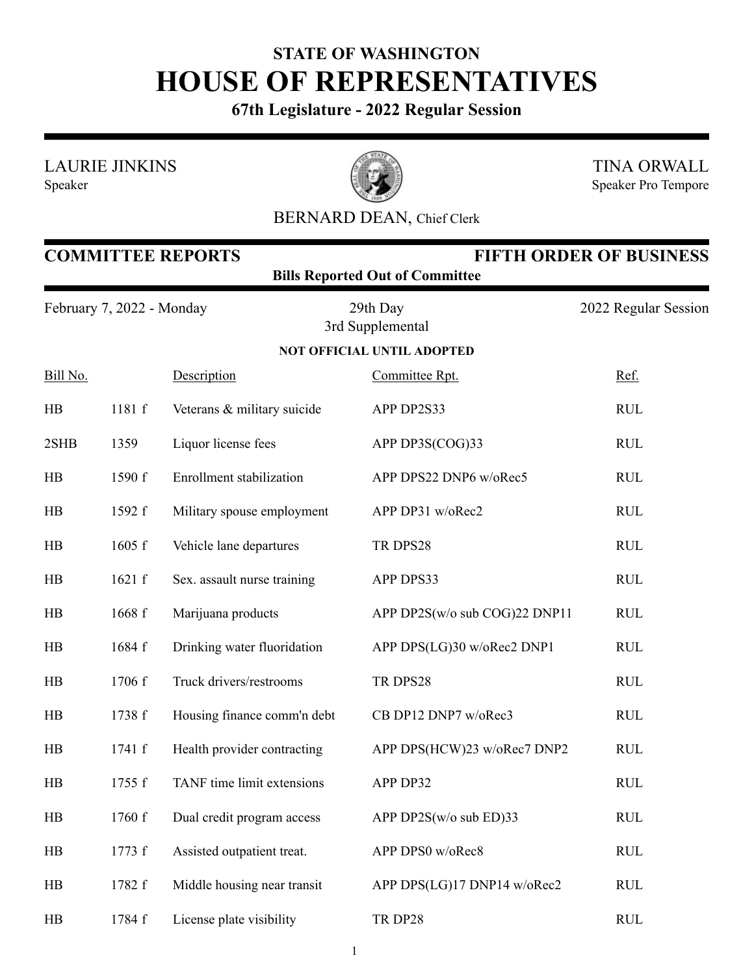## **STATE OF WASHINGTON HOUSE OF REPRESENTATIVES**

**67th Legislature - 2022 Regular Session**

LAURIE JINKINS





TINA ORWALL Speaker Pro Tempore

## BERNARD DEAN, Chief Clerk

| <b>COMMITTEE REPORTS</b><br><b>FIFTH ORDER OF BUSINESS</b><br><b>Bills Reported Out of Committee</b> |        |                             |                                   |                      |  |  |  |
|------------------------------------------------------------------------------------------------------|--------|-----------------------------|-----------------------------------|----------------------|--|--|--|
| February 7, 2022 - Monday                                                                            |        |                             | 29th Day<br>3rd Supplemental      | 2022 Regular Session |  |  |  |
|                                                                                                      |        |                             | <b>NOT OFFICIAL UNTIL ADOPTED</b> |                      |  |  |  |
| Bill No.                                                                                             |        | Description                 | Committee Rpt.                    | Ref.                 |  |  |  |
| HB                                                                                                   | 1181 f | Veterans & military suicide | APP DP2S33                        | <b>RUL</b>           |  |  |  |
| 2SHB                                                                                                 | 1359   | Liquor license fees         | APP DP3S(COG)33                   | <b>RUL</b>           |  |  |  |
| HB                                                                                                   | 1590 f | Enrollment stabilization    | APP DPS22 DNP6 w/oRec5            | <b>RUL</b>           |  |  |  |
| HB                                                                                                   | 1592 f | Military spouse employment  | APP DP31 w/oRec2                  | <b>RUL</b>           |  |  |  |
| HB                                                                                                   | 1605 f | Vehicle lane departures     | TR DPS28                          | <b>RUL</b>           |  |  |  |
| HB                                                                                                   | 1621 f | Sex. assault nurse training | APP DPS33                         | <b>RUL</b>           |  |  |  |
| HB                                                                                                   | 1668 f | Marijuana products          | APP DP2S(w/o sub COG)22 DNP11     | <b>RUL</b>           |  |  |  |
| HB                                                                                                   | 1684 f | Drinking water fluoridation | APP DPS(LG)30 w/oRec2 DNP1        | <b>RUL</b>           |  |  |  |
| HB                                                                                                   | 1706 f | Truck drivers/restrooms     | TR DPS28                          | <b>RUL</b>           |  |  |  |
| HB                                                                                                   | 1738 f | Housing finance comm'n debt | CB DP12 DNP7 w/oRec3              | <b>RUL</b>           |  |  |  |
| HB                                                                                                   | 1741 f | Health provider contracting | APP DPS(HCW)23 w/oRec7 DNP2       | <b>RUL</b>           |  |  |  |
| HB                                                                                                   | 1755 f | TANF time limit extensions  | APP DP32                          | <b>RUL</b>           |  |  |  |
| HB                                                                                                   | 1760 f | Dual credit program access  | APP DP2S(w/o sub ED)33            | <b>RUL</b>           |  |  |  |
| HB                                                                                                   | 1773 f | Assisted outpatient treat.  | APP DPS0 w/oRec8                  | <b>RUL</b>           |  |  |  |
| HB                                                                                                   | 1782 f | Middle housing near transit | APP DPS(LG)17 DNP14 w/oRec2       | <b>RUL</b>           |  |  |  |
| HB                                                                                                   | 1784 f | License plate visibility    | TR DP28                           | <b>RUL</b>           |  |  |  |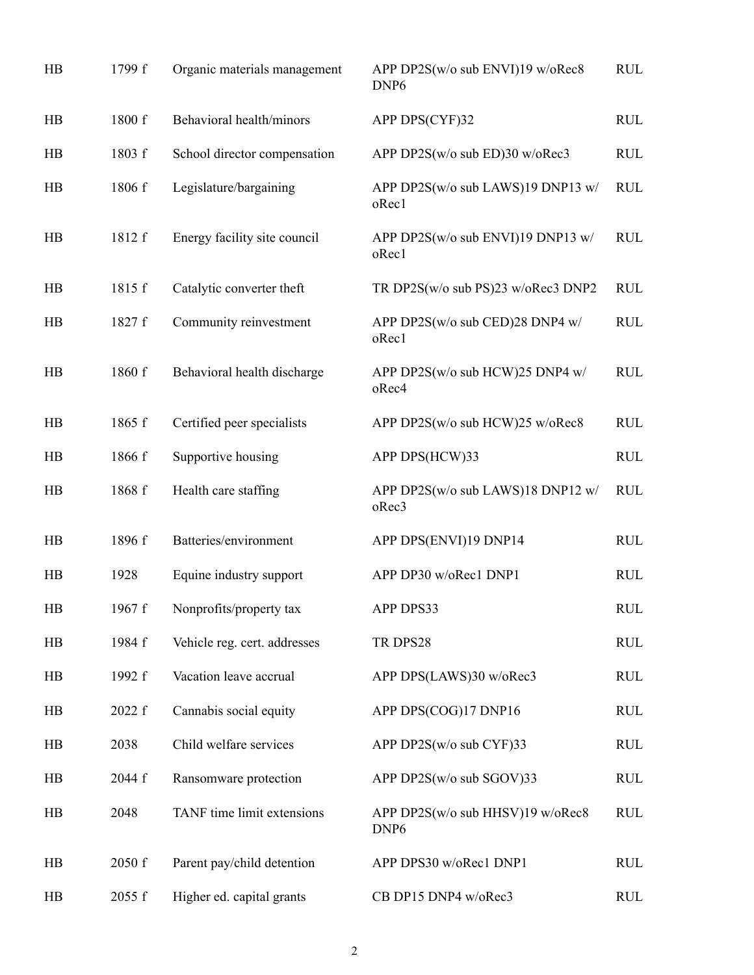| HB              | 1799 f | Organic materials management | APP DP2S(w/o sub ENVI)19 w/oRec8<br>DNP <sub>6</sub> | <b>RUL</b> |
|-----------------|--------|------------------------------|------------------------------------------------------|------------|
| HB              | 1800 f | Behavioral health/minors     | APP DPS(CYF)32                                       | <b>RUL</b> |
| HB              | 1803 f | School director compensation | APP DP2S(w/o sub ED)30 w/oRec3                       | <b>RUL</b> |
| HB              | 1806 f | Legislature/bargaining       | APP DP2S(w/o sub LAWS)19 DNP13 w/<br>oRec1           | <b>RUL</b> |
| HB              | 1812 f | Energy facility site council | APP DP2S(w/o sub ENVI)19 DNP13 w/<br>oRec1           | <b>RUL</b> |
| HB              | 1815 f | Catalytic converter theft    | TR DP2S(w/o sub PS)23 w/oRec3 DNP2                   | <b>RUL</b> |
| HB              | 1827 f | Community reinvestment       | APP DP2S(w/o sub CED)28 DNP4 w/<br>oRec1             | <b>RUL</b> |
| HB              | 1860 f | Behavioral health discharge  | APP DP2S(w/o sub HCW)25 DNP4 w/<br>oRec4             | <b>RUL</b> |
| HB              | 1865 f | Certified peer specialists   | APP DP2S(w/o sub HCW)25 w/oRec8                      | <b>RUL</b> |
| HB              | 1866 f | Supportive housing           | APP DPS(HCW)33                                       | <b>RUL</b> |
| HB              | 1868 f | Health care staffing         | APP DP2S(w/o sub LAWS)18 DNP12 w/<br>oRec3           | <b>RUL</b> |
| HB              | 1896 f | Batteries/environment        | APP DPS(ENVI)19 DNP14                                | <b>RUL</b> |
| HB              | 1928   | Equine industry support      | APP DP30 w/oRec1 DNP1                                | <b>RUL</b> |
| $\overline{AB}$ | 1967 f | Nonprofits/property tax      | APP DPS33                                            | <b>RUL</b> |
| HB              | 1984 f | Vehicle reg. cert. addresses | TR DPS28                                             | <b>RUL</b> |
| HB              | 1992 f | Vacation leave accrual       | APP DPS(LAWS)30 w/oRec3                              | <b>RUL</b> |
| HB              | 2022 f | Cannabis social equity       | APP DPS(COG)17 DNP16                                 | <b>RUL</b> |
| HB              | 2038   | Child welfare services       | APP DP2S(w/o sub CYF)33                              | <b>RUL</b> |
| HB              | 2044 f | Ransomware protection        | APP DP2S(w/o sub SGOV)33                             | <b>RUL</b> |
| HB              | 2048   | TANF time limit extensions   | APP DP2S(w/o sub HHSV)19 w/oRec8<br>DNP <sub>6</sub> | <b>RUL</b> |
| HB              | 2050 f | Parent pay/child detention   | APP DPS30 w/oRec1 DNP1                               | <b>RUL</b> |
| HB              | 2055 f | Higher ed. capital grants    | CB DP15 DNP4 w/oRec3                                 | <b>RUL</b> |